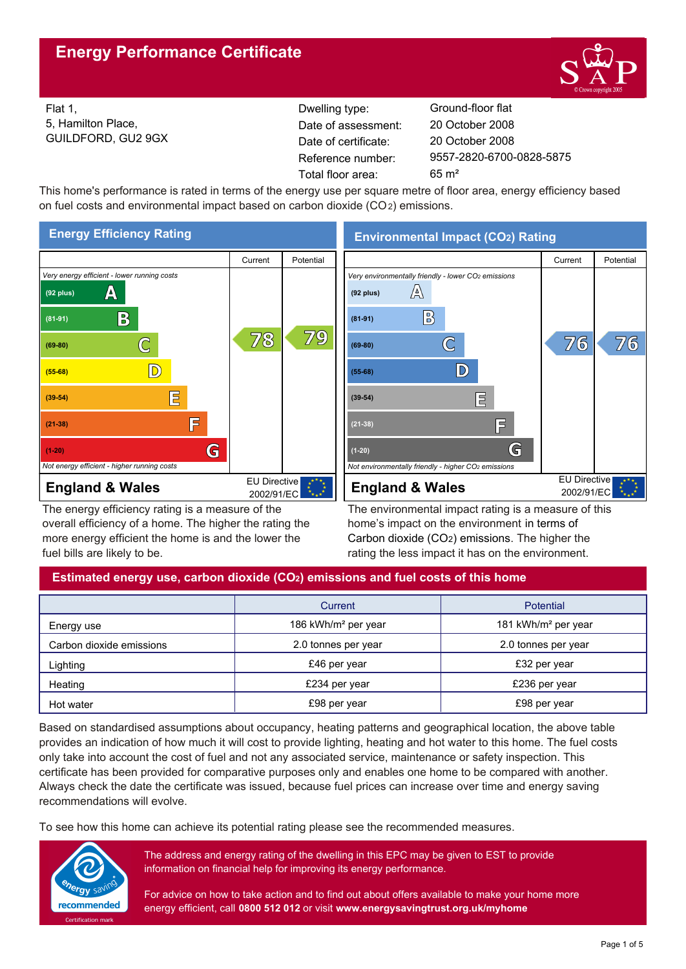

Flat 1, 5, Hamilton Place, GUILDFORD, GU2 9GX Reference number: Dwelling type: Ground-floor flat Date of certificate: Total floor area: 65 m² Date of assessment:

9557-2820-6700-0828-5875 20 October 2008 20 October 2008

This home's performance is rated in terms of the energy use per square metre of floor area, energy efficiency based on fuel costs and environmental impact based on carbon dioxide (CO2) emissions.



The energy efficiency rating is a measure of the overall efficiency of a home. The higher the rating the more energy efficient the home is and the lower the fuel bills are likely to be.

**Environmental Impact (CO2) Rating**



The environmental impact rating is a measure of this home's impact on the environment in terms of Carbon dioxide (CO2) emissions. The higher the rating the less impact it has on the environment.

# **Estimated energy use, carbon dioxide (CO2) emissions and fuel costs of this home**

|                          | Current                         | Potential                       |
|--------------------------|---------------------------------|---------------------------------|
| Energy use               | 186 kWh/m <sup>2</sup> per year | 181 kWh/m <sup>2</sup> per year |
| Carbon dioxide emissions | 2.0 tonnes per year             | 2.0 tonnes per year             |
| Lighting                 | £46 per year                    | £32 per year                    |
| Heating                  | £234 per year                   | £236 per year                   |
| Hot water                | £98 per year                    | £98 per year                    |

Based on standardised assumptions about occupancy, heating patterns and geographical location, the above table provides an indication of how much it will cost to provide lighting, heating and hot water to this home. The fuel costs only take into account the cost of fuel and not any associated service, maintenance or safety inspection. This certificate has been provided for comparative purposes only and enables one home to be compared with another. Always check the date the certificate was issued, because fuel prices can increase over time and energy saving recommendations will evolve.

To see how this home can achieve its potential rating please see the recommended measures.



The address and energy rating of the dwelling in this EPC may be given to EST to provide information on financial help for improving its energy performance.

For advice on how to take action and to find out about offers available to make your home more energy efficient, call **0800 512 012** or visit **www.energysavingtrust.org.uk/myhome**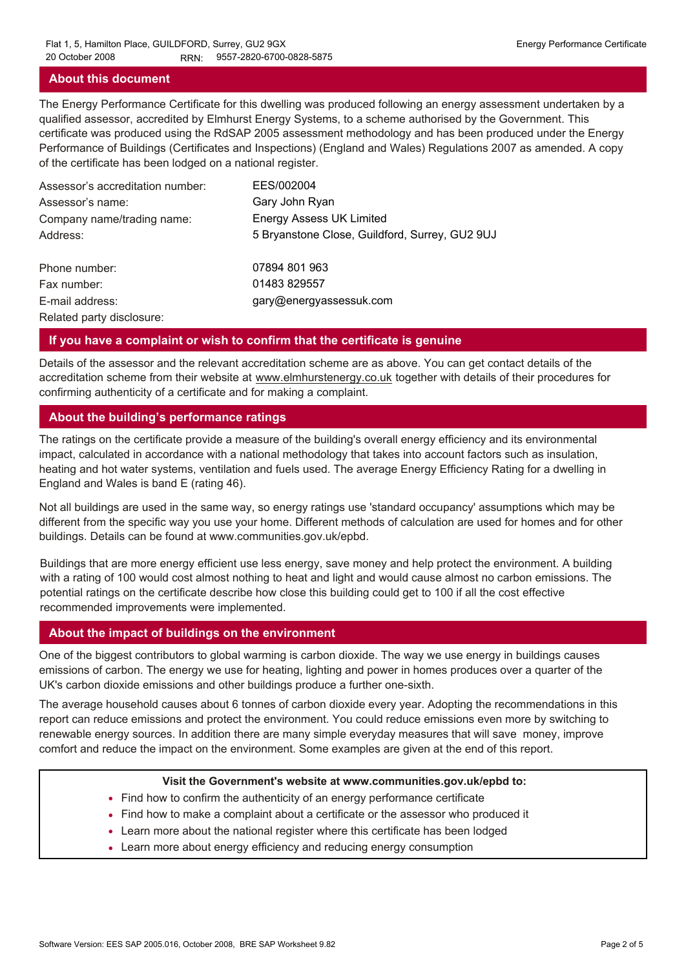## **About this document**

The Energy Performance Certificate for this dwelling was produced following an energy assessment undertaken by a qualified assessor, accredited by Elmhurst Energy Systems, to a scheme authorised by the Government. This certificate was produced using the RdSAP 2005 assessment methodology and has been produced under the Energy Performance of Buildings (Certificates and Inspections) (England and Wales) Regulations 2007 as amended. A copy of the certificate has been lodged on a national register.

| Assessor's accreditation number: | EES/002004                                     |
|----------------------------------|------------------------------------------------|
| Assessor's name:                 | Gary John Ryan                                 |
| Company name/trading name:       | <b>Energy Assess UK Limited</b>                |
| Address:                         | 5 Bryanstone Close, Guildford, Surrey, GU2 9UJ |
| Phone number:                    | 07894 801 963                                  |
| Fax number:                      | 01483 829557                                   |
| E-mail address:                  | gary@energyassessuk.com                        |
| Related party disclosure:        |                                                |

#### **If you have a complaint or wish to confirm that the certificate is genuine**

Details of the assessor and the relevant accreditation scheme are as above. You can get contact details of the accreditation scheme from their website at www.elmhurstenergy.co.uk together with details of their procedures for confirming authenticity of a certificate and for making a complaint.

## **About the building's performance ratings**

The ratings on the certificate provide a measure of the building's overall energy efficiency and its environmental impact, calculated in accordance with a national methodology that takes into account factors such as insulation, heating and hot water systems, ventilation and fuels used. The average Energy Efficiency Rating for a dwelling in England and Wales is band E (rating 46).

Not all buildings are used in the same way, so energy ratings use 'standard occupancy' assumptions which may be different from the specific way you use your home. Different methods of calculation are used for homes and for other buildings. Details can be found at www.communities.gov.uk/epbd.

Buildings that are more energy efficient use less energy, save money and help protect the environment. A building with a rating of 100 would cost almost nothing to heat and light and would cause almost no carbon emissions. The potential ratings on the certificate describe how close this building could get to 100 if all the cost effective recommended improvements were implemented.

#### **About the impact of buildings on the environment**

One of the biggest contributors to global warming is carbon dioxide. The way we use energy in buildings causes emissions of carbon. The energy we use for heating, lighting and power in homes produces over a quarter of the UK's carbon dioxide emissions and other buildings produce a further one-sixth.

The average household causes about 6 tonnes of carbon dioxide every year. Adopting the recommendations in this report can reduce emissions and protect the environment. You could reduce emissions even more by switching to renewable energy sources. In addition there are many simple everyday measures that will save money, improve comfort and reduce the impact on the environment. Some examples are given at the end of this report.

#### **Visit the Government's website at www.communities.gov.uk/epbd to:**

- Find how to confirm the authenticity of an energy performance certificate
- Find how to make a complaint about a certificate or the assessor who produced it •
- Learn more about the national register where this certificate has been lodged •
- Learn more about energy efficiency and reducing energy consumption •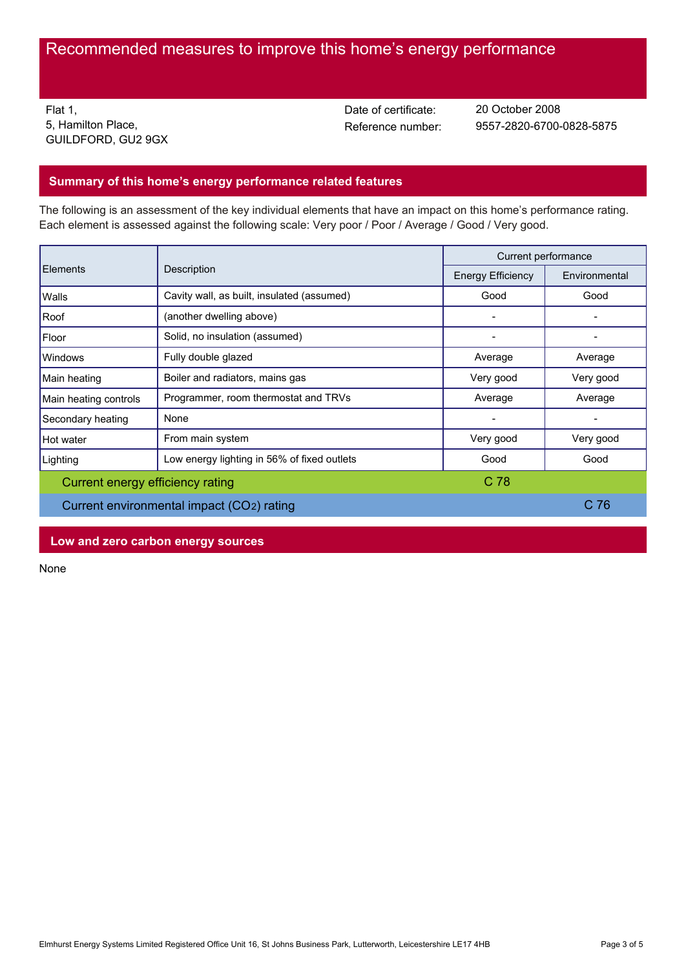# Recommended measures to improve this home's energy performance

Flat 1, 5, Hamilton Place, GUILDFORD, GU2 9GX Date of certificate:

Reference number: 9557-2820-6700-0828-5875 20 October 2008

# **Summary of this home's energy performance related features**

The following is an assessment of the key individual elements that have an impact on this home's performance rating. Each element is assessed against the following scale: Very poor / Poor / Average / Good / Very good.

| Description<br>Elements                   |                                             | Current performance |           |
|-------------------------------------------|---------------------------------------------|---------------------|-----------|
|                                           | <b>Energy Efficiency</b>                    | Environmental       |           |
| Walls                                     | Cavity wall, as built, insulated (assumed)  | Good                | Good      |
| Roof                                      | (another dwelling above)                    |                     |           |
| Floor                                     | Solid, no insulation (assumed)              |                     |           |
| Windows                                   | Fully double glazed                         | Average             | Average   |
| Main heating                              | Boiler and radiators, mains gas             | Very good           | Very good |
| Main heating controls                     | Programmer, room thermostat and TRVs        | Average             | Average   |
| Secondary heating                         | None                                        |                     |           |
| Hot water                                 | From main system                            | Very good           | Very good |
| Lighting                                  | Low energy lighting in 56% of fixed outlets | Good                | Good      |
| Current energy efficiency rating          |                                             | C <sub>78</sub>     |           |
| Current environmental impact (CO2) rating |                                             | C 76                |           |

**Low and zero carbon energy sources**

None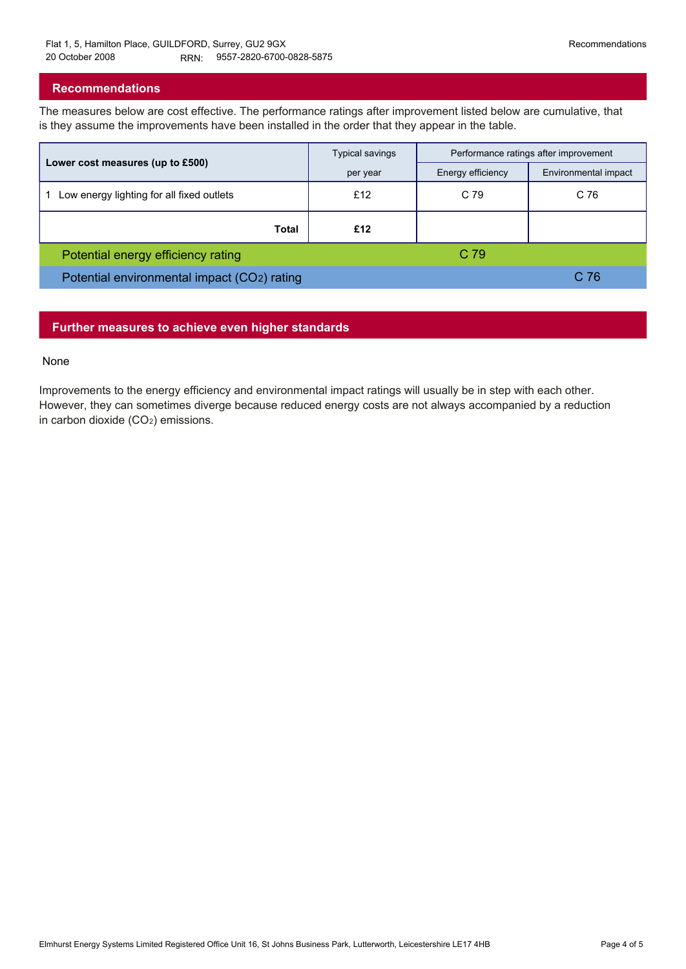## **Recommendations**

The measures below are cost effective. The performance ratings after improvement listed below are cumulative, that is they assume the improvements have been installed in the order that they appear in the table.

|                                             | <b>Typical savings</b> | Performance ratings after improvement |                      |
|---------------------------------------------|------------------------|---------------------------------------|----------------------|
| Lower cost measures (up to £500)            | per year               | Energy efficiency                     | Environmental impact |
| Low energy lighting for all fixed outlets   | £12                    | C 79                                  | C 76                 |
| Total                                       | £12                    |                                       |                      |
| Potential energy efficiency rating          |                        | C 79                                  |                      |
| Potential environmental impact (CO2) rating |                        |                                       | C 76                 |

## **Further measures to achieve even higher standards**

#### None

Improvements to the energy efficiency and environmental impact ratings will usually be in step with each other. However, they can sometimes diverge because reduced energy costs are not always accompanied by a reduction in carbon dioxide (CO2) emissions.